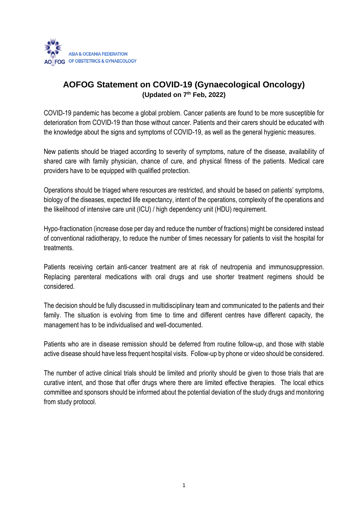

# **AOFOG Statement on COVID-19 (Gynaecological Oncology) (Updated on 7 th Feb, 2022)**

COVID-19 pandemic has become a global problem. Cancer patients are found to be more susceptible for deterioration from COVID-19 than those without cancer. Patients and their carers should be educated with the knowledge about the signs and symptoms of COVID-19, as well as the general hygienic measures.

New patients should be triaged according to severity of symptoms, nature of the disease, availability of shared care with family physician, chance of cure, and physical fitness of the patients. Medical care providers have to be equipped with qualified protection.

Operations should be triaged where resources are restricted, and should be based on patients' symptoms, biology of the diseases, expected life expectancy, intent of the operations, complexity of the operations and the likelihood of intensive care unit (ICU) / high dependency unit (HDU) requirement.

Hypo-fractionation (increase dose per day and reduce the number of fractions) might be considered instead of conventional radiotherapy, to reduce the number of times necessary for patients to visit the hospital for treatments.

Patients receiving certain anti-cancer treatment are at risk of neutropenia and immunosuppression. Replacing parenteral medications with oral drugs and use shorter treatment regimens should be considered.

The decision should be fully discussed in multidisciplinary team and communicated to the patients and their family. The situation is evolving from time to time and different centres have different capacity, the management has to be individualised and well-documented.

Patients who are in disease remission should be deferred from routine follow-up, and those with stable active disease should have less frequent hospital visits. Follow-up by phone or video should be considered.

The number of active clinical trials should be limited and priority should be given to those trials that are curative intent, and those that offer drugs where there are limited effective therapies. The local ethics committee and sponsors should be informed about the potential deviation of the study drugs and monitoring from study protocol.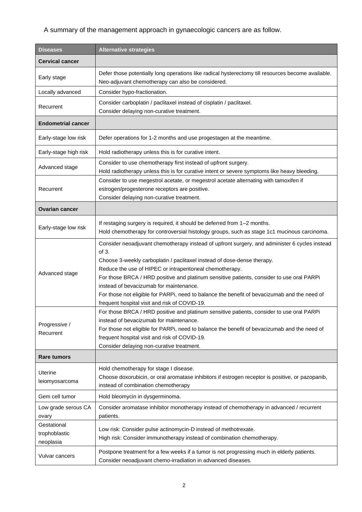## A summary of the management approach in gynaecologic cancers are as follow.

| <b>Diseases</b>                                    | <b>Alternative strategies</b>                                                                                                                                                                                                                                                                                                                                                                                                                                                                                                          |
|----------------------------------------------------|----------------------------------------------------------------------------------------------------------------------------------------------------------------------------------------------------------------------------------------------------------------------------------------------------------------------------------------------------------------------------------------------------------------------------------------------------------------------------------------------------------------------------------------|
| <b>Cervical cancer</b>                             |                                                                                                                                                                                                                                                                                                                                                                                                                                                                                                                                        |
| Early stage                                        | Defer those potentially long operations like radical hysterectomy till resources become available.                                                                                                                                                                                                                                                                                                                                                                                                                                     |
|                                                    | Neo-adjuvant chemotherapy can also be considered.                                                                                                                                                                                                                                                                                                                                                                                                                                                                                      |
| Locally advanced                                   | Consider hypo-fractionation.                                                                                                                                                                                                                                                                                                                                                                                                                                                                                                           |
| Recurrent                                          | Consider carboplatin / paclitaxel instead of cisplatin / paclitaxel.<br>Consider delaying non-curative treatment.                                                                                                                                                                                                                                                                                                                                                                                                                      |
| <b>Endometrial cancer</b>                          |                                                                                                                                                                                                                                                                                                                                                                                                                                                                                                                                        |
| Early-stage low risk                               | Defer operations for 1-2 months and use progestagen at the meantime.                                                                                                                                                                                                                                                                                                                                                                                                                                                                   |
| Early-stage high risk                              | Hold radiotherapy unless this is for curative intent.                                                                                                                                                                                                                                                                                                                                                                                                                                                                                  |
| Advanced stage                                     | Consider to use chemotherapy first instead of upfront surgery.<br>Hold radiotherapy unless this is for curative intent or severe symptoms like heavy bleeding.                                                                                                                                                                                                                                                                                                                                                                         |
| Recurrent                                          | Consider to use megestrol acetate, or megestrol acetate alternating with tamoxifen if<br>estrogen/progesterone receptors are positive.<br>Consider delaying non-curative treatment.                                                                                                                                                                                                                                                                                                                                                    |
| <b>Ovarian cancer</b>                              |                                                                                                                                                                                                                                                                                                                                                                                                                                                                                                                                        |
| Early-stage low risk                               | If restaging surgery is required, it should be deferred from 1-2 months.<br>Hold chemotherapy for controversial histology groups, such as stage 1c1 mucinous carcinoma.                                                                                                                                                                                                                                                                                                                                                                |
| Advanced stage                                     | Consider neoadjuvant chemotherapy instead of upfront surgery, and administer 6 cycles instead<br>of 3.<br>Choose 3-weekly carboplatin / paclitaxel instead of dose-dense therapy.<br>Reduce the use of HIPEC or intraperitoneal chemotherapy.<br>For those BRCA / HRD positive and platinum sensitive patients, consider to use oral PARPi<br>instead of bevacizumab for maintenance.<br>For those not eligible for PARPi, need to balance the benefit of bevacizumab and the need of<br>frequent hospital visit and risk of COVID-19. |
| Progressive /<br>Recurrent                         | For those BRCA / HRD positive and platinum sensitive patients, consider to use oral PARPi<br>instead of bevacizumab for maintenance.<br>For those not eligible for PARPi, need to balance the benefit of bevacizumab and the need of<br>frequent hospital visit and risk of COVID-19.<br>Consider delaying non-curative treatment.                                                                                                                                                                                                     |
| <b>Rare tumors</b>                                 |                                                                                                                                                                                                                                                                                                                                                                                                                                                                                                                                        |
| Uterine<br>leiomyosarcoma                          | Hold chemotherapy for stage I disease.<br>Choose doxorubicin, or oral aromatase inhibitors if estrogen receptor is positive, or pazopanib,<br>instead of combination chemotherapy                                                                                                                                                                                                                                                                                                                                                      |
| Gem cell tumor                                     | Hold bleomycin in dysgerminoma.                                                                                                                                                                                                                                                                                                                                                                                                                                                                                                        |
| Low grade serous CA                                | Consider aromatase inhibitor monotherapy instead of chemotherapy in advanced / recurrent                                                                                                                                                                                                                                                                                                                                                                                                                                               |
| ovary<br>Gestational<br>trophoblastic<br>neoplasia | patients.<br>Low risk: Consider pulse actinomycin-D instead of methotrexate.<br>High risk: Consider immunotherapy instead of combination chemotherapy.                                                                                                                                                                                                                                                                                                                                                                                 |
| Vulvar cancers                                     | Postpone treatment for a few weeks if a tumor is not progressing much in elderly patients.<br>Consider neoadjuvant chemo-irradiation in advanced diseases.                                                                                                                                                                                                                                                                                                                                                                             |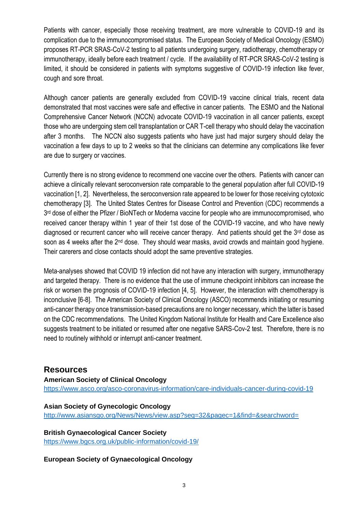Patients with cancer, especially those receiving treatment, are more vulnerable to COVID-19 and its complication due to the immunocompromised status. The European Society of Medical Oncology (ESMO) proposes RT-PCR SRAS-CoV-2 testing to all patients undergoing surgery, radiotherapy, chemotherapy or immunotherapy, ideally before each treatment / cycle. If the availability of RT-PCR SRAS-CoV-2 testing is limited, it should be considered in patients with symptoms suggestive of COVID-19 infection like fever, cough and sore throat.

Although cancer patients are generally excluded from COVID-19 vaccine clinical trials, recent data demonstrated that most vaccines were safe and effective in cancer patients. The ESMO and the National Comprehensive Cancer Network (NCCN) advocate COVID-19 vaccination in all cancer patients, except those who are undergoing stem cell transplantation or CAR T-cell therapy who should delay the vaccination after 3 months. The NCCN also suggests patients who have just had major surgery should delay the vaccination a few days to up to 2 weeks so that the clinicians can determine any complications like fever are due to surgery or vaccines.

Currently there is no strong evidence to recommend one vaccine over the others. Patients with cancer can achieve a clinically relevant seroconversion rate comparable to the general population after full COVID-19 vaccination [1, 2]. Nevertheless, the seroconversion rate appeared to be lower for those receiving cytotoxic chemotherapy [3]. The United States Centres for Disease Control and Prevention (CDC) recommends a 3<sup>rd</sup> dose of either the Pfizer / BioNTech or Moderna vaccine for people who are immunocompromised, who received cancer therapy within 1 year of their 1st dose of the COVID-19 vaccine, and who have newly diagnosed or recurrent cancer who will receive cancer therapy. And patients should get the 3<sup>rd</sup> dose as soon as 4 weeks after the 2<sup>nd</sup> dose. They should wear masks, avoid crowds and maintain good hygiene. Their carerers and close contacts should adopt the same preventive strategies.

Meta-analyses showed that COVID 19 infection did not have any interaction with surgery, immunotherapy and targeted therapy. There is no evidence that the use of immune checkpoint inhibitors can increase the risk or worsen the prognosis of COVID-19 infection [4, 5]. However, the interaction with chemotherapy is inconclusive [6-8]. The American Society of Clinical Oncology (ASCO) recommends initiating or resuming anti-cancer therapy once transmission-based precautions are no longer necessary, which the latter is based on the CDC recommendations. The United Kingdom National Institute for Health and Care Excellence also suggests treatment to be initiated or resumed after one negative SARS-Cov-2 test. Therefore, there is no need to routinely withhold or interrupt anti-cancer treatment.

## **Resources**

**American Society of Clinical Oncology** <https://www.asco.org/asco-coronavirus-information/care-individuals-cancer-during-covid-19>

#### **Asian Society of Gynecologic Oncology**

<http://www.asiansgo.org/News/News/view.asp?seq=32&pagec=1&find=&searchword=>

#### **British Gynaecological Cancer Society**

<https://www.bgcs.org.uk/public-information/covid-19/>

#### **European Society of Gynaecological Oncology**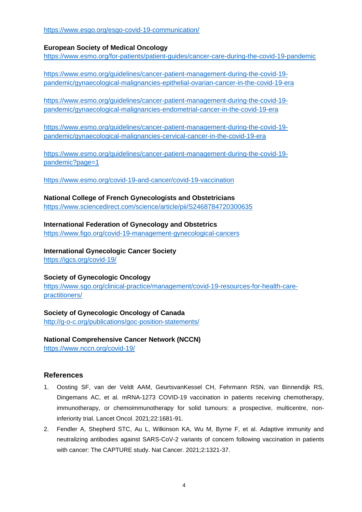<https://www.esgo.org/esgo-covid-19-communication/>

#### **European Society of Medical Oncology**

<https://www.esmo.org/for-patients/patient-guides/cancer-care-during-the-covid-19-pandemic>

[https://www.esmo.org/guidelines/cancer-patient-management-during-the-covid-19](https://www.esmo.org/guidelines/cancer-patient-management-during-the-covid-19-pandemic/gynaecological-malignancies-epithelial-ovarian-cancer-in-the-covid-19-era) [pandemic/gynaecological-malignancies-epithelial-ovarian-cancer-in-the-covid-19-era](https://www.esmo.org/guidelines/cancer-patient-management-during-the-covid-19-pandemic/gynaecological-malignancies-epithelial-ovarian-cancer-in-the-covid-19-era)

[https://www.esmo.org/guidelines/cancer-patient-management-during-the-covid-19](https://www.esmo.org/guidelines/cancer-patient-management-during-the-covid-19-pandemic/gynaecological-malignancies-endometrial-cancer-in-the-covid-19-era) [pandemic/gynaecological-malignancies-endometrial-cancer-in-the-covid-19-era](https://www.esmo.org/guidelines/cancer-patient-management-during-the-covid-19-pandemic/gynaecological-malignancies-endometrial-cancer-in-the-covid-19-era)

[https://www.esmo.org/guidelines/cancer-patient-management-during-the-covid-19](https://www.esmo.org/guidelines/cancer-patient-management-during-the-covid-19-pandemic/gynaecological-malignancies-cervical-cancer-in-the-covid-19-era) [pandemic/gynaecological-malignancies-cervical-cancer-in-the-covid-19-era](https://www.esmo.org/guidelines/cancer-patient-management-during-the-covid-19-pandemic/gynaecological-malignancies-cervical-cancer-in-the-covid-19-era)

[https://www.esmo.org/guidelines/cancer-patient-management-during-the-covid-19](https://www.esmo.org/guidelines/cancer-patient-management-during-the-covid-19-pandemic?page=1) [pandemic?page=1](https://www.esmo.org/guidelines/cancer-patient-management-during-the-covid-19-pandemic?page=1)

<https://www.esmo.org/covid-19-and-cancer/covid-19-vaccination>

#### **National College of French Gynecologists and Obstetricians**

<https://www.sciencedirect.com/science/article/pii/S2468784720300635>

#### **International Federation of Gynecology and Obstetrics**

<https://www.figo.org/covid-19-management-gynecological-cancers>

**International Gynecologic Cancer Society** <https://igcs.org/covid-19/>

#### **Society of Gynecologic Oncology**

[https://www.sgo.org/clinical-practice/management/covid-19-resources-for-health-care](https://www.sgo.org/clinical-practice/management/covid-19-resources-for-health-care-practitioners/)[practitioners/](https://www.sgo.org/clinical-practice/management/covid-19-resources-for-health-care-practitioners/)

## **Society of Gynecologic Oncology of Canada**

<http://g-o-c.org/publications/goc-position-statements/>

**National Comprehensive Cancer Network (NCCN)** <https://www.nccn.org/covid-19/>

## **References**

- 1. Oosting SF, van der Veldt AAM, GeurtsvanKessel CH, Fehrmann RSN, van Binnendijk RS, Dingemans AC, et al. mRNA-1273 COVID-19 vaccination in patients receiving chemotherapy, immunotherapy, or chemoimmunotherapy for solid tumours: a prospective, multicentre, noninferiority trial. Lancet Oncol. 2021;22:1681-91.
- 2. Fendler A, Shepherd STC, Au L, Wilkinson KA, Wu M, Byrne F, et al. Adaptive immunity and neutralizing antibodies against SARS-CoV-2 variants of concern following vaccination in patients with cancer: The CAPTURE study. Nat Cancer. 2021;2:1321-37.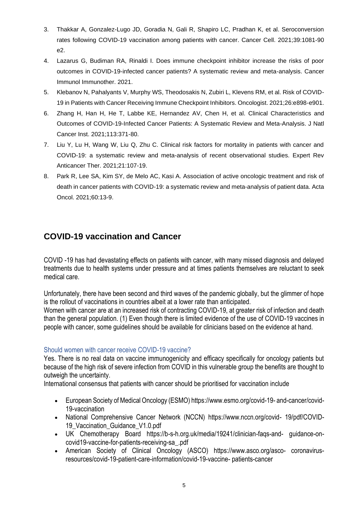- 3. Thakkar A, Gonzalez-Lugo JD, Goradia N, Gali R, Shapiro LC, Pradhan K, et al. Seroconversion rates following COVID-19 vaccination among patients with cancer. Cancer Cell. 2021;39:1081-90 e2.
- 4. Lazarus G, Budiman RA, Rinaldi I. Does immune checkpoint inhibitor increase the risks of poor outcomes in COVID-19-infected cancer patients? A systematic review and meta-analysis. Cancer Immunol Immunother. 2021.
- 5. Klebanov N, Pahalyants V, Murphy WS, Theodosakis N, Zubiri L, Klevens RM, et al. Risk of COVID-19 in Patients with Cancer Receiving Immune Checkpoint Inhibitors. Oncologist. 2021;26:e898-e901.
- 6. Zhang H, Han H, He T, Labbe KE, Hernandez AV, Chen H, et al. Clinical Characteristics and Outcomes of COVID-19-Infected Cancer Patients: A Systematic Review and Meta-Analysis. J Natl Cancer Inst. 2021;113:371-80.
- 7. Liu Y, Lu H, Wang W, Liu Q, Zhu C. Clinical risk factors for mortality in patients with cancer and COVID-19: a systematic review and meta-analysis of recent observational studies. Expert Rev Anticancer Ther. 2021;21:107-19.
- 8. Park R, Lee SA, Kim SY, de Melo AC, Kasi A. Association of active oncologic treatment and risk of death in cancer patients with COVID-19: a systematic review and meta-analysis of patient data. Acta Oncol. 2021;60:13-9.

# **COVID-19 vaccination and Cancer**

COVID -19 has had devastating effects on patients with cancer, with many missed diagnosis and delayed treatments due to health systems under pressure and at times patients themselves are reluctant to seek medical care.

Unfortunately, there have been second and third waves of the pandemic globally, but the glimmer of hope is the rollout of vaccinations in countries albeit at a lower rate than anticipated.

Women with cancer are at an increased risk of contracting COVID-19, at greater risk of infection and death than the general population. (1) Even though there is limited evidence of the use of COVID-19 vaccines in people with cancer, some guidelines should be available for clinicians based on the evidence at hand.

## Should women with cancer receive COVID-19 vaccine?

Yes. There is no real data on vaccine immunogenicity and efficacy specifically for oncology patients but because of the high risk of severe infection from COVID in this vulnerable group the benefits are thought to outweigh the uncertainty.

International consensus that patients with cancer should be prioritised for vaccination include

- European Society of Medical Oncology (ESMO) https://www.esmo.org/covid-19- and-cancer/covid-19-vaccination
- National Comprehensive Cancer Network (NCCN) https://www.nccn.org/covid- 19/pdf/COVID-19 Vaccination Guidance V1.0.pdf
- UK Chemotherapy Board https://b-s-h.org.uk/media/19241/clinician-faqs-and- guidance-oncovid19-vaccine-for-patients-receiving-sa\_.pdf
- American Society of Clinical Oncology (ASCO) https://www.asco.org/asco- coronavirusresources/covid-19-patient-care-information/covid-19-vaccine- patients-cancer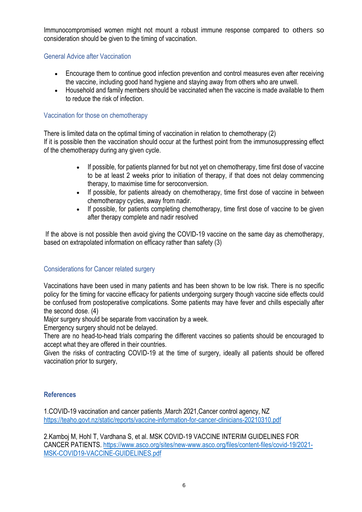Immunocompromised women might not mount a robust immune response compared to others so consideration should be given to the timing of vaccination.

### General Advice after Vaccination

- Encourage them to continue good infection prevention and control measures even after receiving the vaccine, including good hand hygiene and staying away from others who are unwell.
- Household and family members should be vaccinated when the vaccine is made available to them to reduce the risk of infection.

### Vaccination for those on chemotherapy

There is limited data on the optimal timing of vaccination in relation to chemotherapy (2) If it is possible then the vaccination should occur at the furthest point from the immunosuppressing effect of the chemotherapy during any given cycle.

- If possible, for patients planned for but not yet on chemotherapy, time first dose of vaccine to be at least 2 weeks prior to initiation of therapy, if that does not delay commencing therapy, to maximise time for seroconversion.
- If possible, for patients already on chemotherapy, time first dose of vaccine in between chemotherapy cycles, away from nadir.
- If possible, for patients completing chemotherapy, time first dose of vaccine to be given after therapy complete and nadir resolved

If the above is not possible then avoid giving the COVID-19 vaccine on the same day as chemotherapy, based on extrapolated information on efficacy rather than safety (3)

## Considerations for Cancer related surgery

Vaccinations have been used in many patients and has been shown to be low risk. There is no specific policy for the timing for vaccine efficacy for patients undergoing surgery though vaccine side effects could be confused from postoperative complications. Some patients may have fever and chills especially after the second dose. (4)

Major surgery should be separate from vaccination by a week.

Emergency surgery should not be delayed.

There are no head-to-head trials comparing the different vaccines so patients should be encouraged to accept what they are offered in their countries.

Given the risks of contracting COVID-19 at the time of surgery, ideally all patients should be offered vaccination prior to surgery,

## **References**

1.COVID-19 vaccination and cancer patients ,March 2021,Cancer control agency, NZ <https://teaho.govt.nz/static/reports/vaccine-information-for-cancer-clinicians-20210310.pdf>

2.Kamboj M, Hohl T, Vardhana S, et al. MSK COVID-19 VACCINE INTERIM GUIDELINES FOR CANCER PATIENTS. [https://www.asco.org/sites/new-www.asco.org/files/content-files/covid-19/2021-](https://www.asco.org/sites/new-www.asco.org/files/content-files/covid-19/2021-MSK-COVID19-VACCINE-GUIDELINES.pdf) [MSK-COVID19-VACCINE-GUIDELINES.pdf](https://www.asco.org/sites/new-www.asco.org/files/content-files/covid-19/2021-MSK-COVID19-VACCINE-GUIDELINES.pdf)